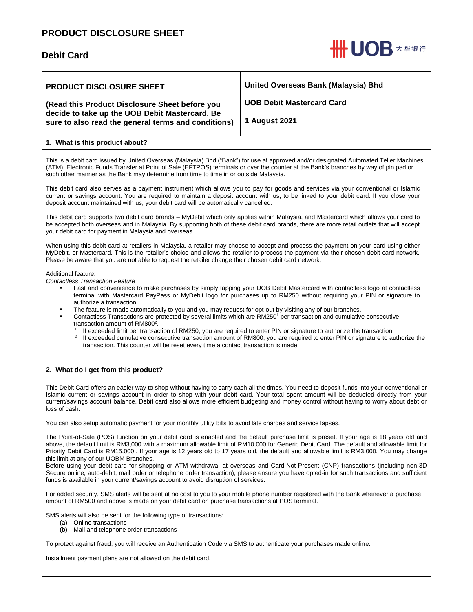# **PRODUCT DISCLOSURE SHEET**

## **Debit Card**



| <b>PRODUCT DISCLOSURE SHEET</b><br>(Read this Product Disclosure Sheet before you<br>decide to take up the UOB Debit Mastercard. Be<br>sure to also read the general terms and conditions)                                                                                                                                                                              | United Overseas Bank (Malaysia) Bhd<br><b>UOB Debit Mastercard Card</b><br><b>1 August 2021</b> |  |
|-------------------------------------------------------------------------------------------------------------------------------------------------------------------------------------------------------------------------------------------------------------------------------------------------------------------------------------------------------------------------|-------------------------------------------------------------------------------------------------|--|
| 1. What is this product about?                                                                                                                                                                                                                                                                                                                                          |                                                                                                 |  |
| This is a debit card issued by United Overseas (Malaysia) Bhd ("Bank") for use at approved and/or designated Automated Teller Machines<br>(ATM), Electronic Funds Transfer at Point of Sale (EFTPOS) terminals or over the counter at the Bank's branches by way of pin pad or<br>such other manner as the Bank may determine from time to time in or outside Malaysia. |                                                                                                 |  |
| This debit card also serves as a payment instrument which allows you to pay for goods and services via your conventional or Islamic<br>current or savings account. You are required to maintain a deposit account with us, to be linked to your debit card. If you close your<br>deposit account maintained with us, your debit card will be automatically cancelled.   |                                                                                                 |  |
| This debit card supports two debit card brands – MyDebit which only applies within Malaysia, and Mastercard which allows your card to<br>be accepted both overseas and in Malaysia. By supporting both of these debit card brands, there are more retail outlets that will accept<br>your debit card for payment in Malaysia and overseas.                              |                                                                                                 |  |

When using this debit card at retailers in Malaysia, a retailer may choose to accept and process the payment on your card using either MyDebit, or Mastercard. This is the retailer's choice and allows the retailer to process the payment via their chosen debit card network. Please be aware that you are not able to request the retailer change their chosen debit card network.

Additional feature:

*Contactless Transaction Feature* 

- Fast and convenience to make purchases by simply tapping your UOB Debit Mastercard with contactless logo at contactless terminal with Mastercard PayPass or MyDebit logo for purchases up to RM250 without requiring your PIN or signature to authorize a transaction.
- The feature is made automatically to you and you may request for opt-out by visiting any of our branches.
	- Contactless Transactions are protected by several limits which are RM250<sup>1</sup> per transaction and cumulative consecutive transaction amount of RM800<sup>2</sup>.
		- 1 If exceeded limit per transaction of RM250, you are required to enter PIN or signature to authorize the transaction.
		- 2 If exceeded cumulative consecutive transaction amount of RM800, you are required to enter PIN or signature to authorize the transaction. This counter will be reset every time a contact transaction is made.

## **2. What do I get from this product?**

This Debit Card offers an easier way to shop without having to carry cash all the times. You need to deposit funds into your conventional or Islamic current or savings account in order to shop with your debit card. Your total spent amount will be deducted directly from your current/savings account balance. Debit card also allows more efficient budgeting and money control without having to worry about debt or loss of cash.

You can also setup automatic payment for your monthly utility bills to avoid late charges and service lapses.

The Point-of-Sale (POS) function on your debit card is enabled and the default purchase limit is preset. If your age is 18 years old and above, the default limit is RM3,000 with a maximum allowable limit of RM10,000 for Generic Debit Card. The default and allowable limit for Priority Debit Card is RM15,000.. If your age is 12 years old to 17 years old, the default and allowable limit is RM3,000. You may change this limit at any of our UOBM Branches.

Before using your debit card for shopping or ATM withdrawal at overseas and Card-Not-Present (CNP) transactions (including non-3D Secure online, auto-debit, mail order or telephone order transaction), please ensure you have opted-in for such transactions and sufficient funds is available in your current/savings account to avoid disruption of services.

For added security, SMS alerts will be sent at no cost to you to your mobile phone number registered with the Bank whenever a purchase amount of RM500 and above is made on your debit card on purchase transactions at POS terminal.

SMS alerts will also be sent for the following type of transactions:

- (a) Online transactions
- (b) Mail and telephone order transactions

To protect against fraud, you will receive an Authentication Code via SMS to authenticate your purchases made online.

Installment payment plans are not allowed on the debit card.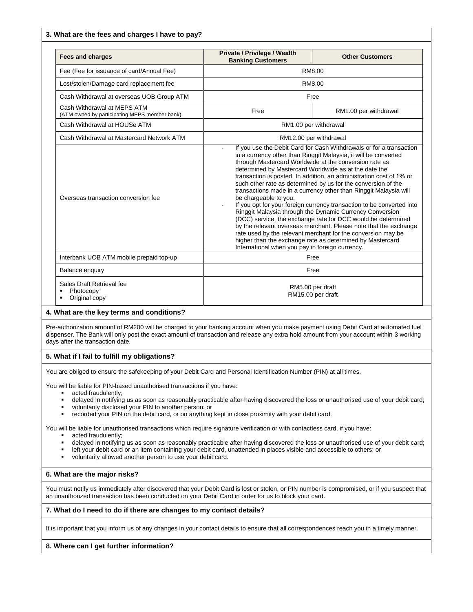#### **3. What are the fees and charges I have to pay?**

| <b>Fees and charges</b>                                                      | Private / Privilege / Wealth<br><b>Banking Customers</b>                                                                                                                                                                                                                                                                                                                                                                                                                                                                                                                                                                                                                                                                                                                                                                                                                                                                                                | <b>Other Customers</b> |
|------------------------------------------------------------------------------|---------------------------------------------------------------------------------------------------------------------------------------------------------------------------------------------------------------------------------------------------------------------------------------------------------------------------------------------------------------------------------------------------------------------------------------------------------------------------------------------------------------------------------------------------------------------------------------------------------------------------------------------------------------------------------------------------------------------------------------------------------------------------------------------------------------------------------------------------------------------------------------------------------------------------------------------------------|------------------------|
| Fee (Fee for issuance of card/Annual Fee)                                    | RM8.00                                                                                                                                                                                                                                                                                                                                                                                                                                                                                                                                                                                                                                                                                                                                                                                                                                                                                                                                                  |                        |
| Lost/stolen/Damage card replacement fee                                      | RM8.00                                                                                                                                                                                                                                                                                                                                                                                                                                                                                                                                                                                                                                                                                                                                                                                                                                                                                                                                                  |                        |
| Cash Withdrawal at overseas UOB Group ATM                                    | Free                                                                                                                                                                                                                                                                                                                                                                                                                                                                                                                                                                                                                                                                                                                                                                                                                                                                                                                                                    |                        |
| Cash Withdrawal at MEPS ATM<br>(ATM owned by participating MEPS member bank) | Free                                                                                                                                                                                                                                                                                                                                                                                                                                                                                                                                                                                                                                                                                                                                                                                                                                                                                                                                                    | RM1.00 per withdrawal  |
| Cash Withdrawal at HOUSe ATM                                                 | RM1.00 per withdrawal                                                                                                                                                                                                                                                                                                                                                                                                                                                                                                                                                                                                                                                                                                                                                                                                                                                                                                                                   |                        |
| Cash Withdrawal at Mastercard Network ATM                                    | RM12.00 per withdrawal                                                                                                                                                                                                                                                                                                                                                                                                                                                                                                                                                                                                                                                                                                                                                                                                                                                                                                                                  |                        |
| Overseas transaction conversion fee                                          | If you use the Debit Card for Cash Withdrawals or for a transaction<br>in a currency other than Ringgit Malaysia, it will be converted<br>through Mastercard Worldwide at the conversion rate as<br>determined by Mastercard Worldwide as at the date the<br>transaction is posted. In addition, an administration cost of 1% or<br>such other rate as determined by us for the conversion of the<br>transactions made in a currency other than Ringgit Malaysia will<br>be chargeable to you.<br>If you opt for your foreign currency transaction to be converted into<br>Ringgit Malaysia through the Dynamic Currency Conversion<br>(DCC) service, the exchange rate for DCC would be determined<br>by the relevant overseas merchant. Please note that the exchange<br>rate used by the relevant merchant for the conversion may be<br>higher than the exchange rate as determined by Mastercard<br>International when you pay in foreign currency. |                        |
| Interbank UOB ATM mobile prepaid top-up                                      | Free                                                                                                                                                                                                                                                                                                                                                                                                                                                                                                                                                                                                                                                                                                                                                                                                                                                                                                                                                    |                        |
| <b>Balance enquiry</b>                                                       | Free                                                                                                                                                                                                                                                                                                                                                                                                                                                                                                                                                                                                                                                                                                                                                                                                                                                                                                                                                    |                        |
| Sales Draft Retrieval fee<br>Photocopy<br>Original copy                      | RM5.00 per draft<br>RM15.00 per draft                                                                                                                                                                                                                                                                                                                                                                                                                                                                                                                                                                                                                                                                                                                                                                                                                                                                                                                   |                        |

#### **4. What are the key terms and conditions?**

Pre-authorization amount of RM200 will be charged to your banking account when you make payment using Debit Card at automated fuel dispenser. The Bank will only post the exact amount of transaction and release any extra hold amount from your account within 3 working days after the transaction date.

#### **5. What if I fail to fulfill my obligations?**

You are obliged to ensure the safekeeping of your Debit Card and Personal Identification Number (PIN) at all times.

You will be liable for PIN-based unauthorised transactions if you have:

- **acted fraudulently;**
- delayed in notifying us as soon as reasonably practicable after having discovered the loss or unauthorised use of your debit card;
- voluntarily disclosed your PIN to another person; or<br>recorded your PIN on the debit card, or on anything
- recorded your PIN on the debit card, or on anything kept in close proximity with your debit card.

You will be liable for unauthorised transactions which require signature verification or with contactless card, if you have:

- **acted fraudulently:**
- delayed in notifying us as soon as reasonably practicable after having discovered the loss or unauthorised use of your debit card;
- left your debit card or an item containing your debit card, unattended in places visible and accessible to others; or
- voluntarily allowed another person to use your debit card.

#### **6. What are the major risks?**

You must notify us immediately after discovered that your Debit Card is lost or stolen, or PIN number is compromised, or if you suspect that an unauthorized transaction has been conducted on your Debit Card in order for us to block your card.

#### **7. What do I need to do if there are changes to my contact details?**

It is important that you inform us of any changes in your contact details to ensure that all correspondences reach you in a timely manner.

#### **8. Where can I get further information?**